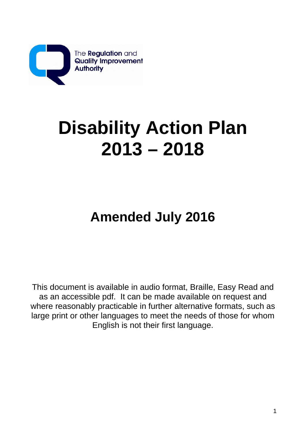

# **Disability Action Plan 2013 – 2018**

## **Amended July 2016**

This document is available in audio format, Braille, Easy Read and as an accessible pdf. It can be made available on request and where reasonably practicable in further alternative formats, such as large print or other languages to meet the needs of those for whom English is not their first language.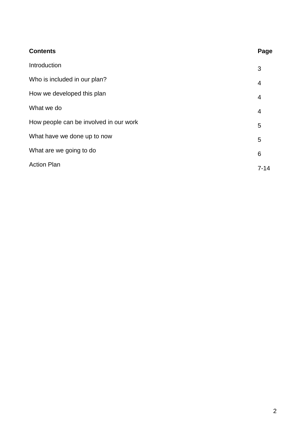| <b>Contents</b>                        | Page           |
|----------------------------------------|----------------|
| Introduction                           | 3              |
| Who is included in our plan?           | 4              |
| How we developed this plan             | $\overline{4}$ |
| What we do                             | $\overline{4}$ |
| How people can be involved in our work | 5              |
| What have we done up to now            | 5              |
| What are we going to do                | 6              |
| <b>Action Plan</b>                     | $7 - 14$       |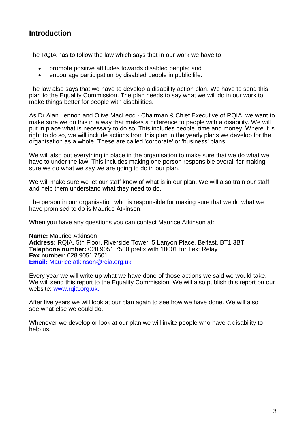## **Introduction**

The RQIA has to follow the law which says that in our work we have to

- promote positive attitudes towards disabled people; and
- encourage participation by disabled people in public life.

The law also says that we have to develop a disability action plan. We have to send this plan to the Equality Commission. The plan needs to say what we will do in our work to make things better for people with disabilities.

As Dr Alan Lennon and Olive MacLeod - Chairman & Chief Executive of RQIA, we want to make sure we do this in a way that makes a difference to people with a disability. We will put in place what is necessary to do so. This includes people, time and money. Where it is right to do so, we will include actions from this plan in the yearly plans we develop for the organisation as a whole. These are called 'corporate' or 'business' plans.

We will also put everything in place in the organisation to make sure that we do what we have to under the law. This includes making one person responsible overall for making sure we do what we say we are going to do in our plan.

We will make sure we let our staff know of what is in our plan. We will also train our staff and help them understand what they need to do.

The person in our organisation who is responsible for making sure that we do what we have promised to do is Maurice Atkinson:

When you have any questions you can contact Maurice Atkinson at:

**Name:** Maurice Atkinson **Address:** RQIA, 5th Floor, Riverside Tower, 5 Lanyon Place, Belfast, BT1 3BT **Telephone number:** 028 9051 7500 prefix with 18001 for Text Relay **Fax number:** 028 9051 7501 **Email:** Maurice.atkinson@rgia.org.uk

Every year we will write up what we have done of those actions we said we would take. We will send this report to the Equality Commission. We will also publish this report on our website: www.rqia.org.uk.

After five years we will look at our plan again to see how we have done. We will also see what else we could do.

Whenever we develop or look at our plan we will invite people who have a disability to help us.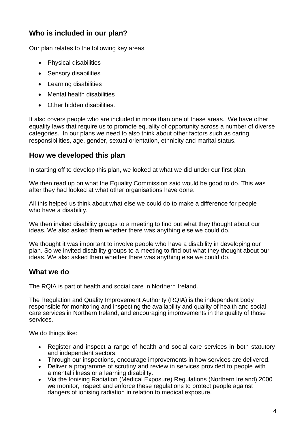## **Who is included in our plan?**

Our plan relates to the following key areas:

- Physical disabilities
- Sensory disabilities
- Learning disabilities
- Mental health disabilities
- Other hidden disabilities.

It also covers people who are included in more than one of these areas. We have other equality laws that require us to promote equality of opportunity across a number of diverse categories. In our plans we need to also think about other factors such as caring responsibilities, age, gender, sexual orientation, ethnicity and marital status.

## **How we developed this plan**

In starting off to develop this plan, we looked at what we did under our first plan.

We then read up on what the Equality Commission said would be good to do. This was after they had looked at what other organisations have done.

All this helped us think about what else we could do to make a difference for people who have a disability.

We then invited disability groups to a meeting to find out what they thought about our ideas. We also asked them whether there was anything else we could do.

We thought it was important to involve people who have a disability in developing our plan. So we invited disability groups to a meeting to find out what they thought about our ideas. We also asked them whether there was anything else we could do.

#### **What we do**

The RQIA is part of health and social care in Northern Ireland.

The Regulation and Quality Improvement Authority (RQIA) is the independent body responsible for monitoring and inspecting the availability and quality of health and social care services in Northern Ireland, and encouraging improvements in the quality of those services.

We do things like:

- Register and inspect a range of health and social care services in both statutory and independent sectors.
- Through our inspections, encourage improvements in how services are delivered.
- Deliver a programme of scrutiny and review in services provided to people with a mental illness or a learning disability.
- Via the Ionising Radiation (Medical Exposure) Regulations (Northern Ireland) 2000 we monitor, inspect and enforce these regulations to protect people against dangers of ionising radiation in relation to medical exposure.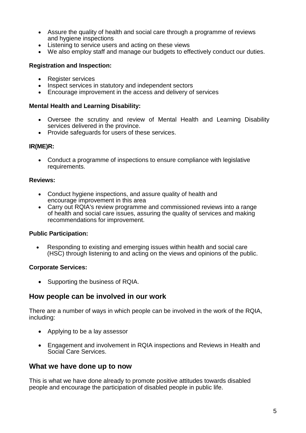- Assure the quality of health and social care through a programme of reviews and hygiene inspections
- Listening to service users and acting on these views
- We also employ staff and manage our budgets to effectively conduct our duties.

#### **Registration and Inspection:**

- Register services
- Inspect services in statutory and independent sectors
- Encourage improvement in the access and delivery of services

#### **Mental Health and Learning Disability:**

- Oversee the scrutiny and review of Mental Health and Learning Disability services delivered in the province.
- Provide safeguards for users of these services.

#### **IR(ME)R:**

• Conduct a programme of inspections to ensure compliance with legislative requirements.

#### **Reviews:**

- Conduct hygiene inspections, and assure quality of health and encourage improvement in this area
- Carry out RQIA's review programme and commissioned reviews into a range of health and social care issues, assuring the quality of services and making recommendations for improvement.

#### **Public Participation:**

• Responding to existing and emerging issues within health and social care (HSC) through listening to and acting on the views and opinions of the public.

#### **Corporate Services:**

• Supporting the business of RQIA.

#### **How people can be involved in our work**

There are a number of ways in which people can be involved in the work of the RQIA, including:

- Applying to be a lay assessor
- Engagement and involvement in RQIA inspections and Reviews in Health and Social Care Services.

#### **What we have done up to now**

This is what we have done already to promote positive attitudes towards disabled people and encourage the participation of disabled people in public life.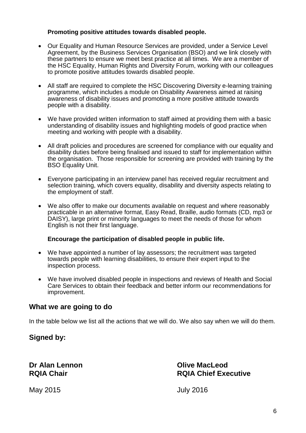#### **Promoting positive attitudes towards disabled people.**

- Our Equality and Human Resource Services are provided, under a Service Level Agreement, by the Business Services Organisation (BSO) and we link closely with these partners to ensure we meet best practice at all times. We are a member of the HSC Equality, Human Rights and Diversity Forum, working with our colleagues to promote positive attitudes towards disabled people.
- All staff are required to complete the HSC Discovering Diversity e-learning training programme, which includes a module on Disability Awareness aimed at raising awareness of disability issues and promoting a more positive attitude towards people with a disability.
- We have provided written information to staff aimed at providing them with a basic understanding of disability issues and highlighting models of good practice when meeting and working with people with a disability.
- All draft policies and procedures are screened for compliance with our equality and disability duties before being finalised and issued to staff for implementation within the organisation. Those responsible for screening are provided with training by the BSO Equality Unit.
- Everyone participating in an interview panel has received regular recruitment and selection training, which covers equality, disability and diversity aspects relating to the employment of staff.
- We also offer to make our documents available on request and where reasonably practicable in an alternative format, Easy Read, Braille, audio formats (CD, mp3 or DAISY), large print or minority languages to meet the needs of those for whom English is not their first language.

#### **Encourage the participation of disabled people in public life.**

- We have appointed a number of lay assessors; the recruitment was targeted towards people with learning disabilities, to ensure their expert input to the inspection process.
- We have involved disabled people in inspections and reviews of Health and Social Care Services to obtain their feedback and better inform our recommendations for improvement.

#### **What we are going to do**

In the table below we list all the actions that we will do. We also say when we will do them.

#### **Signed by:**

**Dr Alan Lennon Olive MacLeod**

## **RQIA Chair RQIA Chief Executive**

May 2015 July 2016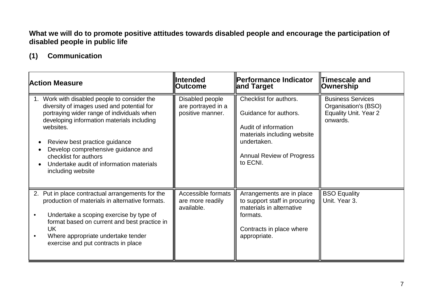## **What we will do to promote positive attitudes towards disabled people and encourage the participation of disabled people in public life**

## **(1) Communication**

| <b>Action Measure</b>                                                                                                                                                                                                                                                                                                                                             | llIntended<br><b>Outcome</b>                              | <b>  Performance Indicator</b><br>∥and Target                                                                                                                         | <b>Timescale and</b><br>Ownership                                                            |
|-------------------------------------------------------------------------------------------------------------------------------------------------------------------------------------------------------------------------------------------------------------------------------------------------------------------------------------------------------------------|-----------------------------------------------------------|-----------------------------------------------------------------------------------------------------------------------------------------------------------------------|----------------------------------------------------------------------------------------------|
| Work with disabled people to consider the<br>diversity of images used and potential for<br>portraying wider range of individuals when<br>developing information materials including<br>websites.<br>Review best practice guidance<br>Develop comprehensive guidance and<br>checklist for authors<br>Undertake audit of information materials<br>including website | Disabled people<br>are portrayed in a<br>positive manner. | Checklist for authors.<br>Guidance for authors.<br>Audit of information<br>materials including website<br>undertaken.<br><b>Annual Review of Progress</b><br>to ECNI. | <b>Business Services</b><br>Organisation's (BSO)<br><b>Equality Unit. Year 2</b><br>onwards. |
| Put in place contractual arrangements for the<br>2.<br>production of materials in alternative formats.<br>Undertake a scoping exercise by type of<br>format based on current and best practice in<br><b>UK</b><br>Where appropriate undertake tender<br>exercise and put contracts in place                                                                       | Accessible formats<br>are more readily<br>available.      | Arrangements are in place<br>to support staff in procuring<br>materials in alternative<br>formats.<br>Contracts in place where<br>appropriate.                        | <b>BSO Equality</b><br>Unit. Year 3.                                                         |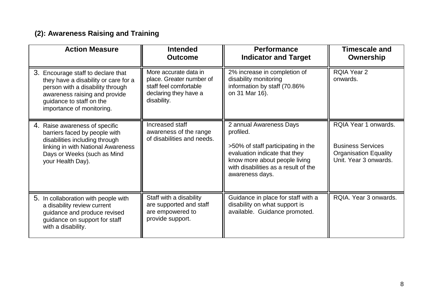## **(2): Awareness Raising and Training**

| <b>Action Measure</b>                                                                                                                                                                                    | <b>Intended</b><br><b>Outcome</b>                                                                                   | <b>Performance</b><br><b>Indicator and Target</b>                                                                                                                                                       | <b>Timescale and</b><br>Ownership                                                                         |
|----------------------------------------------------------------------------------------------------------------------------------------------------------------------------------------------------------|---------------------------------------------------------------------------------------------------------------------|---------------------------------------------------------------------------------------------------------------------------------------------------------------------------------------------------------|-----------------------------------------------------------------------------------------------------------|
| 3. Encourage staff to declare that<br>they have a disability or care for a<br>person with a disability through<br>awareness raising and provide<br>guidance to staff on the<br>importance of monitoring. | More accurate data in<br>place. Greater number of<br>staff feel comfortable<br>declaring they have a<br>disability. | 2% increase in completion of<br>disability monitoring<br>information by staff (70.86%<br>on 31 Mar 16).                                                                                                 | <b>RQIA Year 2</b><br>onwards.                                                                            |
| 4. Raise awareness of specific<br>barriers faced by people with<br>disabilities including through<br>linking in with National Awareness<br>Days or Weeks (such as Mind<br>your Health Day).              | Increased staff<br>awareness of the range<br>of disabilities and needs.                                             | 2 annual Awareness Days<br>profiled.<br>>50% of staff participating in the<br>evaluation indicate that they<br>know more about people living<br>with disabilities as a result of the<br>awareness days. | RQIA Year 1 onwards.<br><b>Business Services</b><br><b>Organisation Equality</b><br>Unit. Year 3 onwards. |
| 5. In collaboration with people with<br>a disability review current<br>guidance and produce revised<br>guidance on support for staff<br>with a disability.                                               | Staff with a disability<br>are supported and staff<br>are empowered to<br>provide support.                          | Guidance in place for staff with a<br>disability on what support is<br>available. Guidance promoted.                                                                                                    | RQIA. Year 3 onwards.                                                                                     |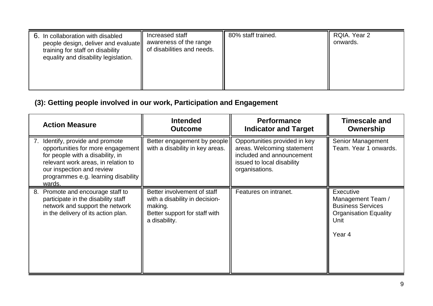| Increased staff<br>6. In collaboration with disabled<br>people design, deliver and evaluate   awareness of the range<br>of disabilities and needs.<br>training for staff on disability<br>equality and disability legislation. | 80% staff trained. | RQIA. Year 2<br>onwards. |
|--------------------------------------------------------------------------------------------------------------------------------------------------------------------------------------------------------------------------------|--------------------|--------------------------|
|--------------------------------------------------------------------------------------------------------------------------------------------------------------------------------------------------------------------------------|--------------------|--------------------------|

## **(3): Getting people involved in our work, Participation and Engagement**

| <b>Action Measure</b>                                                                                                                                                                                                             | <b>Intended</b><br><b>Outcome</b>                                                                                          | <b>Performance</b><br><b>Indicator and Target</b>                                                                                        | <b>Timescale and</b><br>Ownership                                                                            |
|-----------------------------------------------------------------------------------------------------------------------------------------------------------------------------------------------------------------------------------|----------------------------------------------------------------------------------------------------------------------------|------------------------------------------------------------------------------------------------------------------------------------------|--------------------------------------------------------------------------------------------------------------|
| Identify, provide and promote<br>7.<br>opportunities for more engagement<br>for people with a disability, in<br>relevant work areas, in relation to<br>our inspection and review<br>programmes e.g. learning disability<br>wards. | Better engagement by people<br>with a disability in key areas.                                                             | Opportunities provided in key<br>areas. Welcoming statement<br>included and announcement<br>issued to local disability<br>organisations. | Senior Management<br>Team. Year 1 onwards.                                                                   |
| Promote and encourage staff to<br>8.<br>participate in the disability staff<br>network and support the network<br>in the delivery of its action plan.                                                                             | Better involvement of staff<br>with a disability in decision-<br>making.<br>Better support for staff with<br>a disability. | Features on intranet.                                                                                                                    | Executive<br>Management Team /<br><b>Business Services</b><br><b>Organisation Equality</b><br>Unit<br>Year 4 |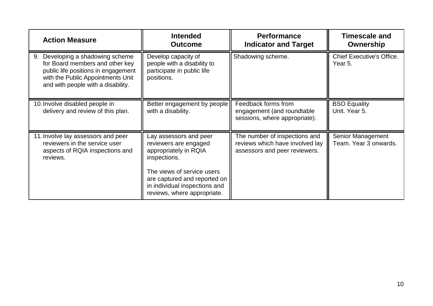| <b>Action Measure</b>                                                                                                                                                                    | <b>Intended</b><br><b>Outcome</b>                                                                                                                                                                                      | <b>Performance</b><br><b>Indicator and Target</b>                                                 | <b>Timescale and</b><br>Ownership           |
|------------------------------------------------------------------------------------------------------------------------------------------------------------------------------------------|------------------------------------------------------------------------------------------------------------------------------------------------------------------------------------------------------------------------|---------------------------------------------------------------------------------------------------|---------------------------------------------|
| Developing a shadowing scheme<br>9.<br>for Board members and other key<br>public life positions in engagement<br>with the Public Appointments Unit<br>and with people with a disability. | Develop capacity of<br>people with a disability to<br>participate in public life<br>positions.                                                                                                                         | Shadowing scheme.                                                                                 | <b>Chief Executive's Office.</b><br>Year 5. |
| 10. Involve disabled people in<br>delivery and review of this plan.                                                                                                                      | Better engagement by people<br>with a disability.                                                                                                                                                                      | Feedback forms from<br>engagement (and roundtable<br>sessions, where appropriate).                | <b>BSO Equality</b><br>Unit. Year 5.        |
| 11. Involve lay assessors and peer<br>reviewers in the service user<br>aspects of RQIA inspections and<br>reviews.                                                                       | Lay assessors and peer<br>reviewers are engaged<br>appropriately in RQIA<br>inspections.<br>The views of service users<br>are captured and reported on<br>in individual inspections and<br>reviews, where appropriate. | The number of inspections and<br>reviews which have involved lay<br>assessors and peer reviewers. | Senior Management<br>Team. Year 3 onwards.  |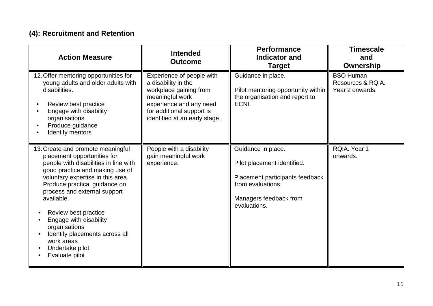## **(4): Recruitment and Retention**

| <b>Action Measure</b>                                                                                                                                                                                                                                                                                                                                                                                                    | <b>Intended</b><br><b>Outcome</b>                                                                                                                                                      | <b>Performance</b><br><b>Indicator and</b><br><b>Target</b>                                                                                         | <b>Timescale</b><br>and<br>Ownership                     |
|--------------------------------------------------------------------------------------------------------------------------------------------------------------------------------------------------------------------------------------------------------------------------------------------------------------------------------------------------------------------------------------------------------------------------|----------------------------------------------------------------------------------------------------------------------------------------------------------------------------------------|-----------------------------------------------------------------------------------------------------------------------------------------------------|----------------------------------------------------------|
| 12. Offer mentoring opportunities for<br>young adults and older adults with<br>disabilities.<br>Review best practice<br>Engage with disability<br>organisations<br>Produce guidance<br>Identify mentors                                                                                                                                                                                                                  | Experience of people with<br>a disability in the<br>workplace gaining from<br>meaningful work<br>experience and any need<br>for additional support is<br>identified at an early stage. | Guidance in place.<br>Pilot mentoring opportunity within<br>the organisation and report to<br>ECNI.                                                 | <b>BSO Human</b><br>Resources & RQIA.<br>Year 2 onwards. |
| 13. Create and promote meaningful<br>placement opportunities for<br>people with disabilities in line with<br>good practice and making use of<br>voluntary expertise in this area.<br>Produce practical guidance on<br>process and external support<br>available.<br>Review best practice<br>Engage with disability<br>organisations<br>Identify placements across all<br>work areas<br>Undertake pilot<br>Evaluate pilot | People with a disability<br>gain meaningful work<br>experience.                                                                                                                        | Guidance in place.<br>Pilot placement identified.<br>Placement participants feedback<br>from evaluations.<br>Managers feedback from<br>evaluations. | RQIA. Year 1<br>onwards.                                 |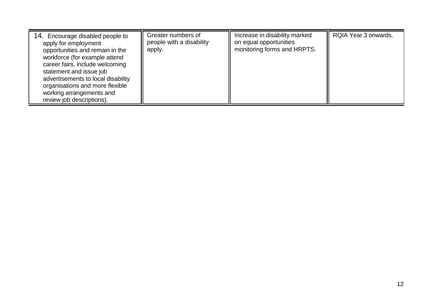| 14. Encourage disabled people to<br>apply for employment<br>opportunities and remain in the<br>workforce (for example attend<br>career fairs, include welcoming<br>statement and issue job<br>advertisements to local disability<br>organisations and more flexible<br>working arrangements and<br>review job descriptions). | Greater numbers of<br>people with a disability<br>apply. | Increase in disability marked<br>on equal opportunities<br>monitoring forms and HRPTS. | RQIA Year 3 onwards. |
|------------------------------------------------------------------------------------------------------------------------------------------------------------------------------------------------------------------------------------------------------------------------------------------------------------------------------|----------------------------------------------------------|----------------------------------------------------------------------------------------|----------------------|
|------------------------------------------------------------------------------------------------------------------------------------------------------------------------------------------------------------------------------------------------------------------------------------------------------------------------------|----------------------------------------------------------|----------------------------------------------------------------------------------------|----------------------|